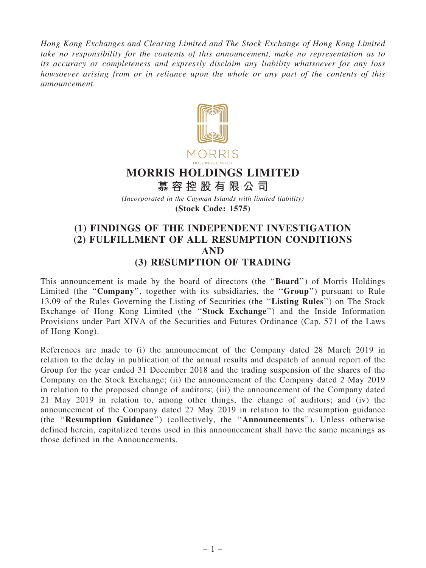Hong Kong Exchanges and Clearing Limited and The Stock Exchange of Hong Kong Limited take no responsibility for the contents of this announcement, make no representation as to its accuracy or completeness and expressly disclaim any liability whatsoever for any loss howsoever arising from or in reliance upon the whole or any part of the contents of this announcement.



# MORRIS HOLDINGS LIMITED

慕 容 控 股 有 限 公 司

(Incorporated in the Cayman Islands with limited liability)

(Stock Code: 1575)

# (1) FINDINGS OF THE INDEPENDENT INVESTIGATION (2) FULFILLMENT OF ALL RESUMPTION CONDITIONS AND (3) RESUMPTION OF TRADING

This announcement is made by the board of directors (the ''Board'') of Morris Holdings Limited (the "Company", together with its subsidiaries, the "Group") pursuant to Rule 13.09 of the Rules Governing the Listing of Securities (the ''Listing Rules'') on The Stock Exchange of Hong Kong Limited (the ''Stock Exchange'') and the Inside Information Provisions under Part XIVA of the Securities and Futures Ordinance (Cap. 571 of the Laws of Hong Kong).

References are made to (i) the announcement of the Company dated 28 March 2019 in relation to the delay in publication of the annual results and despatch of annual report of the Group for the year ended 31 December 2018 and the trading suspension of the shares of the Company on the Stock Exchange; (ii) the announcement of the Company dated 2 May 2019 in relation to the proposed change of auditors; (iii) the announcement of the Company dated 21 May 2019 in relation to, among other things, the change of auditors; and (iv) the announcement of the Company dated 27 May 2019 in relation to the resumption guidance (the ''Resumption Guidance'') (collectively, the ''Announcements''). Unless otherwise defined herein, capitalized terms used in this announcement shall have the same meanings as those defined in the Announcements.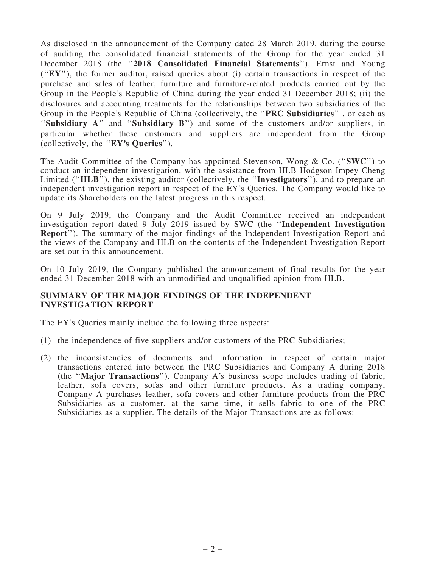As disclosed in the announcement of the Company dated 28 March 2019, during the course of auditing the consolidated financial statements of the Group for the year ended 31 December 2018 (the "2018 Consolidated Financial Statements"), Ernst and Young  $({\bf "EY})$ , the former auditor, raised queries about (i) certain transactions in respect of the purchase and sales of leather, furniture and furniture-related products carried out by the Group in the People's Republic of China during the year ended 31 December 2018; (ii) the disclosures and accounting treatments for the relationships between two subsidiaries of the Group in the People's Republic of China (collectively, the ''PRC Subsidiaries'' , or each as "Subsidiary A" and "Subsidiary B") and some of the customers and/or suppliers, in particular whether these customers and suppliers are independent from the Group (collectively, the ''EY's Queries'').

The Audit Committee of the Company has appointed Stevenson, Wong & Co. ("SWC") to conduct an independent investigation, with the assistance from HLB Hodgson Impey Cheng Limited ("HLB"), the existing auditor (collectively, the "Investigators"), and to prepare an independent investigation report in respect of the EY's Queries. The Company would like to update its Shareholders on the latest progress in this respect.

On 9 July 2019, the Company and the Audit Committee received an independent investigation report dated 9 July 2019 issued by SWC (the ''Independent Investigation Report''). The summary of the major findings of the Independent Investigation Report and the views of the Company and HLB on the contents of the Independent Investigation Report are set out in this announcement.

On 10 July 2019, the Company published the announcement of final results for the year ended 31 December 2018 with an unmodified and unqualified opinion from HLB.

#### SUMMARY OF THE MAJOR FINDINGS OF THE INDEPENDENT INVESTIGATION REPORT

The EY's Queries mainly include the following three aspects:

- (1) the independence of five suppliers and/or customers of the PRC Subsidiaries;
- (2) the inconsistencies of documents and information in respect of certain major transactions entered into between the PRC Subsidiaries and Company A during 2018 (the ''Major Transactions''). Company A's business scope includes trading of fabric, leather, sofa covers, sofas and other furniture products. As a trading company, Company A purchases leather, sofa covers and other furniture products from the PRC Subsidiaries as a customer, at the same time, it sells fabric to one of the PRC Subsidiaries as a supplier. The details of the Major Transactions are as follows: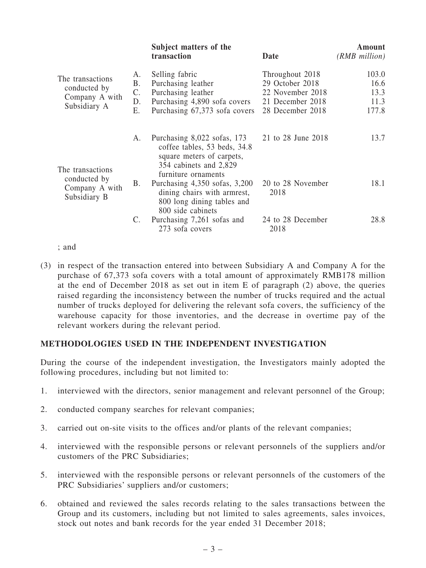|                                                                    |                                   | Subject matters of the<br>transaction                                                                                                     | Date                                                                                           | Amount<br>(RMB million)                |
|--------------------------------------------------------------------|-----------------------------------|-------------------------------------------------------------------------------------------------------------------------------------------|------------------------------------------------------------------------------------------------|----------------------------------------|
| The transactions<br>conducted by<br>Company A with<br>Subsidiary A | Α.<br><b>B.</b><br>C.<br>D.<br>Ε. | Selling fabric<br>Purchasing leather<br>Purchasing leather<br>Purchasing 4,890 sofa covers<br>Purchasing 67,373 sofa covers               | Throughout 2018<br>29 October 2018<br>22 November 2018<br>21 December 2018<br>28 December 2018 | 103.0<br>16.6<br>13.3<br>11.3<br>177.8 |
| The transactions<br>conducted by<br>Company A with<br>Subsidiary B | A.                                | Purchasing 8,022 sofas, 173<br>coffee tables, 53 beds, 34.8<br>square meters of carpets,<br>354 cabinets and 2,829<br>furniture ornaments | 21 to 28 June 2018                                                                             | 13.7                                   |
|                                                                    | Β.                                | Purchasing $4,350$ sofas, $3,200$<br>dining chairs with armrest,<br>800 long dining tables and<br>800 side cabinets                       | 20 to 28 November<br>2018                                                                      | 18.1                                   |
|                                                                    | $\mathcal{C}$ .                   | Purchasing 7,261 sofas and<br>273 sofa covers                                                                                             | 24 to 28 December<br>2018                                                                      | 28.8                                   |

; and

(3) in respect of the transaction entered into between Subsidiary A and Company A for the purchase of 67,373 sofa covers with a total amount of approximately RMB178 million at the end of December 2018 as set out in item E of paragraph (2) above, the queries raised regarding the inconsistency between the number of trucks required and the actual number of trucks deployed for delivering the relevant sofa covers, the sufficiency of the warehouse capacity for those inventories, and the decrease in overtime pay of the relevant workers during the relevant period.

#### METHODOLOGIES USED IN THE INDEPENDENT INVESTIGATION

During the course of the independent investigation, the Investigators mainly adopted the following procedures, including but not limited to:

- 1. interviewed with the directors, senior management and relevant personnel of the Group;
- 2. conducted company searches for relevant companies;
- 3. carried out on-site visits to the offices and/or plants of the relevant companies;
- 4. interviewed with the responsible persons or relevant personnels of the suppliers and/or customers of the PRC Subsidiaries;
- 5. interviewed with the responsible persons or relevant personnels of the customers of the PRC Subsidiaries' suppliers and/or customers;
- 6. obtained and reviewed the sales records relating to the sales transactions between the Group and its customers, including but not limited to sales agreements, sales invoices, stock out notes and bank records for the year ended 31 December 2018;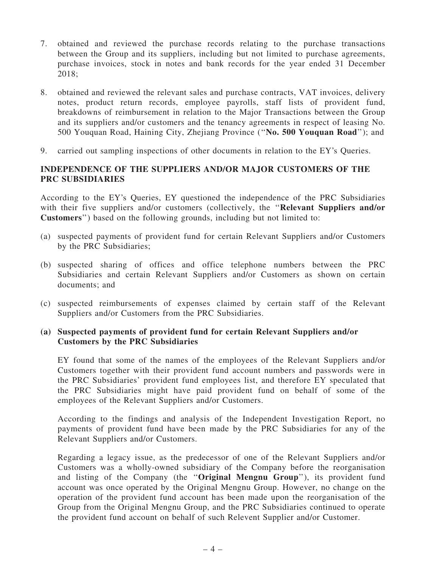- 7. obtained and reviewed the purchase records relating to the purchase transactions between the Group and its suppliers, including but not limited to purchase agreements, purchase invoices, stock in notes and bank records for the year ended 31 December 2018;
- 8. obtained and reviewed the relevant sales and purchase contracts, VAT invoices, delivery notes, product return records, employee payrolls, staff lists of provident fund, breakdowns of reimbursement in relation to the Major Transactions between the Group and its suppliers and/or customers and the tenancy agreements in respect of leasing No. 500 Youquan Road, Haining City, Zhejiang Province (''No. 500 Youquan Road''); and
- 9. carried out sampling inspections of other documents in relation to the EY's Queries.

# INDEPENDENCE OF THE SUPPLIERS AND/OR MAJOR CUSTOMERS OF THE PRC SUBSIDIARIES

According to the EY's Queries, EY questioned the independence of the PRC Subsidiaries with their five suppliers and/or customers (collectively, the "Relevant Suppliers and/or Customers'') based on the following grounds, including but not limited to:

- (a) suspected payments of provident fund for certain Relevant Suppliers and/or Customers by the PRC Subsidiaries;
- (b) suspected sharing of offices and office telephone numbers between the PRC Subsidiaries and certain Relevant Suppliers and/or Customers as shown on certain documents; and
- (c) suspected reimbursements of expenses claimed by certain staff of the Relevant Suppliers and/or Customers from the PRC Subsidiaries.

#### (a) Suspected payments of provident fund for certain Relevant Suppliers and/or Customers by the PRC Subsidiaries

EY found that some of the names of the employees of the Relevant Suppliers and/or Customers together with their provident fund account numbers and passwords were in the PRC Subsidiaries' provident fund employees list, and therefore EY speculated that the PRC Subsidiaries might have paid provident fund on behalf of some of the employees of the Relevant Suppliers and/or Customers.

According to the findings and analysis of the Independent Investigation Report, no payments of provident fund have been made by the PRC Subsidiaries for any of the Relevant Suppliers and/or Customers.

Regarding a legacy issue, as the predecessor of one of the Relevant Suppliers and/or Customers was a wholly-owned subsidiary of the Company before the reorganisation and listing of the Company (the ''Original Mengnu Group''), its provident fund account was once operated by the Original Mengnu Group. However, no change on the operation of the provident fund account has been made upon the reorganisation of the Group from the Original Mengnu Group, and the PRC Subsidiaries continued to operate the provident fund account on behalf of such Relevent Supplier and/or Customer.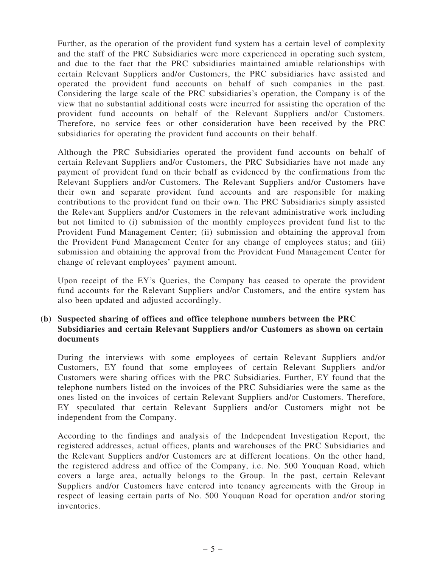Further, as the operation of the provident fund system has a certain level of complexity and the staff of the PRC Subsidiaries were more experienced in operating such system, and due to the fact that the PRC subsidiaries maintained amiable relationships with certain Relevant Suppliers and/or Customers, the PRC subsidiaries have assisted and operated the provident fund accounts on behalf of such companies in the past. Considering the large scale of the PRC subsidiaries's operation, the Company is of the view that no substantial additional costs were incurred for assisting the operation of the provident fund accounts on behalf of the Relevant Suppliers and/or Customers. Therefore, no service fees or other consideration have been received by the PRC subsidiaries for operating the provident fund accounts on their behalf.

Although the PRC Subsidiaries operated the provident fund accounts on behalf of certain Relevant Suppliers and/or Customers, the PRC Subsidiaries have not made any payment of provident fund on their behalf as evidenced by the confirmations from the Relevant Suppliers and/or Customers. The Relevant Suppliers and/or Customers have their own and separate provident fund accounts and are responsible for making contributions to the provident fund on their own. The PRC Subsidiaries simply assisted the Relevant Suppliers and/or Customers in the relevant administrative work including but not limited to (i) submission of the monthly employees provident fund list to the Provident Fund Management Center; (ii) submission and obtaining the approval from the Provident Fund Management Center for any change of employees status; and (iii) submission and obtaining the approval from the Provident Fund Management Center for change of relevant employees' payment amount.

Upon receipt of the EY's Queries, the Company has ceased to operate the provident fund accounts for the Relevant Suppliers and/or Customers, and the entire system has also been updated and adjusted accordingly.

# (b) Suspected sharing of offices and office telephone numbers between the PRC Subsidiaries and certain Relevant Suppliers and/or Customers as shown on certain documents

During the interviews with some employees of certain Relevant Suppliers and/or Customers, EY found that some employees of certain Relevant Suppliers and/or Customers were sharing offices with the PRC Subsidiaries. Further, EY found that the telephone numbers listed on the invoices of the PRC Subsidiaries were the same as the ones listed on the invoices of certain Relevant Suppliers and/or Customers. Therefore, EY speculated that certain Relevant Suppliers and/or Customers might not be independent from the Company.

According to the findings and analysis of the Independent Investigation Report, the registered addresses, actual offices, plants and warehouses of the PRC Subsidiaries and the Relevant Suppliers and/or Customers are at different locations. On the other hand, the registered address and office of the Company, i.e. No. 500 Youquan Road, which covers a large area, actually belongs to the Group. In the past, certain Relevant Suppliers and/or Customers have entered into tenancy agreements with the Group in respect of leasing certain parts of No. 500 Youquan Road for operation and/or storing inventories.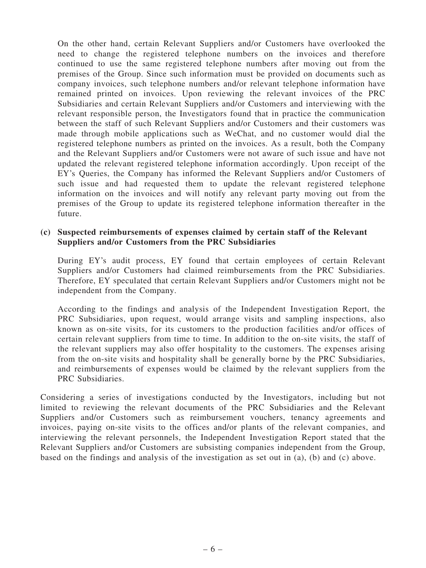On the other hand, certain Relevant Suppliers and/or Customers have overlooked the need to change the registered telephone numbers on the invoices and therefore continued to use the same registered telephone numbers after moving out from the premises of the Group. Since such information must be provided on documents such as company invoices, such telephone numbers and/or relevant telephone information have remained printed on invoices. Upon reviewing the relevant invoices of the PRC Subsidiaries and certain Relevant Suppliers and/or Customers and interviewing with the relevant responsible person, the Investigators found that in practice the communication between the staff of such Relevant Suppliers and/or Customers and their customers was made through mobile applications such as WeChat, and no customer would dial the registered telephone numbers as printed on the invoices. As a result, both the Company and the Relevant Suppliers and/or Customers were not aware of such issue and have not updated the relevant registered telephone information accordingly. Upon receipt of the EY's Queries, the Company has informed the Relevant Suppliers and/or Customers of such issue and had requested them to update the relevant registered telephone information on the invoices and will notify any relevant party moving out from the premises of the Group to update its registered telephone information thereafter in the future.

#### (c) Suspected reimbursements of expenses claimed by certain staff of the Relevant Suppliers and/or Customers from the PRC Subsidiaries

During EY's audit process, EY found that certain employees of certain Relevant Suppliers and/or Customers had claimed reimbursements from the PRC Subsidiaries. Therefore, EY speculated that certain Relevant Suppliers and/or Customers might not be independent from the Company.

According to the findings and analysis of the Independent Investigation Report, the PRC Subsidiaries, upon request, would arrange visits and sampling inspections, also known as on-site visits, for its customers to the production facilities and/or offices of certain relevant suppliers from time to time. In addition to the on-site visits, the staff of the relevant suppliers may also offer hospitality to the customers. The expenses arising from the on-site visits and hospitality shall be generally borne by the PRC Subsidiaries, and reimbursements of expenses would be claimed by the relevant suppliers from the PRC Subsidiaries.

Considering a series of investigations conducted by the Investigators, including but not limited to reviewing the relevant documents of the PRC Subsidiaries and the Relevant Suppliers and/or Customers such as reimbursement vouchers, tenancy agreements and invoices, paying on-site visits to the offices and/or plants of the relevant companies, and interviewing the relevant personnels, the Independent Investigation Report stated that the Relevant Suppliers and/or Customers are subsisting companies independent from the Group, based on the findings and analysis of the investigation as set out in (a), (b) and (c) above.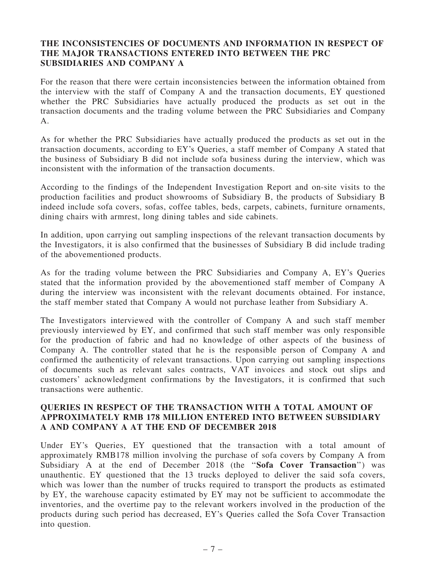# THE INCONSISTENCIES OF DOCUMENTS AND INFORMATION IN RESPECT OF THE MAJOR TRANSACTIONS ENTERED INTO BETWEEN THE PRC SUBSIDIARIES AND COMPANY A

For the reason that there were certain inconsistencies between the information obtained from the interview with the staff of Company A and the transaction documents, EY questioned whether the PRC Subsidiaries have actually produced the products as set out in the transaction documents and the trading volume between the PRC Subsidiaries and Company A.

As for whether the PRC Subsidiaries have actually produced the products as set out in the transaction documents, according to EY's Queries, a staff member of Company A stated that the business of Subsidiary B did not include sofa business during the interview, which was inconsistent with the information of the transaction documents.

According to the findings of the Independent Investigation Report and on-site visits to the production facilities and product showrooms of Subsidiary B, the products of Subsidiary B indeed include sofa covers, sofas, coffee tables, beds, carpets, cabinets, furniture ornaments, dining chairs with armrest, long dining tables and side cabinets.

In addition, upon carrying out sampling inspections of the relevant transaction documents by the Investigators, it is also confirmed that the businesses of Subsidiary B did include trading of the abovementioned products.

As for the trading volume between the PRC Subsidiaries and Company A, EY's Queries stated that the information provided by the abovementioned staff member of Company A during the interview was inconsistent with the relevant documents obtained. For instance, the staff member stated that Company A would not purchase leather from Subsidiary A.

The Investigators interviewed with the controller of Company A and such staff member previously interviewed by EY, and confirmed that such staff member was only responsible for the production of fabric and had no knowledge of other aspects of the business of Company A. The controller stated that he is the responsible person of Company A and confirmed the authenticity of relevant transactions. Upon carrying out sampling inspections of documents such as relevant sales contracts, VAT invoices and stock out slips and customers' acknowledgment confirmations by the Investigators, it is confirmed that such transactions were authentic.

# QUERIES IN RESPECT OF THE TRANSACTION WITH A TOTAL AMOUNT OF APPROXIMATELY RMB 178 MILLION ENTERED INTO BETWEEN SUBSIDIARY A AND COMPANY A AT THE END OF DECEMBER 2018

Under EY's Queries, EY questioned that the transaction with a total amount of approximately RMB178 million involving the purchase of sofa covers by Company A from Subsidiary A at the end of December 2018 (the "Sofa Cover Transaction") was unauthentic. EY questioned that the 13 trucks deployed to deliver the said sofa covers, which was lower than the number of trucks required to transport the products as estimated by EY, the warehouse capacity estimated by EY may not be sufficient to accommodate the inventories, and the overtime pay to the relevant workers involved in the production of the products during such period has decreased, EY's Queries called the Sofa Cover Transaction into question.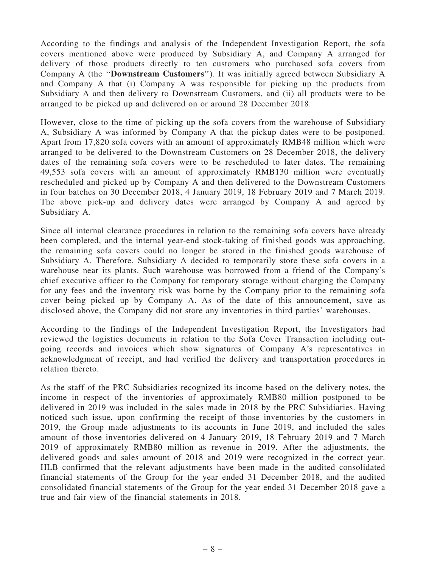According to the findings and analysis of the Independent Investigation Report, the sofa covers mentioned above were produced by Subsidiary A, and Company A arranged for delivery of those products directly to ten customers who purchased sofa covers from Company A (the ''Downstream Customers''). It was initially agreed between Subsidiary A and Company A that (i) Company A was responsible for picking up the products from Subsidiary A and then delivery to Downstream Customers, and (ii) all products were to be arranged to be picked up and delivered on or around 28 December 2018.

However, close to the time of picking up the sofa covers from the warehouse of Subsidiary A, Subsidiary A was informed by Company A that the pickup dates were to be postponed. Apart from 17,820 sofa covers with an amount of approximately RMB48 million which were arranged to be delivered to the Downstream Customers on 28 December 2018, the delivery dates of the remaining sofa covers were to be rescheduled to later dates. The remaining 49,553 sofa covers with an amount of approximately RMB130 million were eventually rescheduled and picked up by Company A and then delivered to the Downstream Customers in four batches on 30 December 2018, 4 January 2019, 18 February 2019 and 7 March 2019. The above pick-up and delivery dates were arranged by Company A and agreed by Subsidiary A.

Since all internal clearance procedures in relation to the remaining sofa covers have already been completed, and the internal year-end stock-taking of finished goods was approaching, the remaining sofa covers could no longer be stored in the finished goods warehouse of Subsidiary A. Therefore, Subsidiary A decided to temporarily store these sofa covers in a warehouse near its plants. Such warehouse was borrowed from a friend of the Company's chief executive officer to the Company for temporary storage without charging the Company for any fees and the inventory risk was borne by the Company prior to the remaining sofa cover being picked up by Company A. As of the date of this announcement, save as disclosed above, the Company did not store any inventories in third parties' warehouses.

According to the findings of the Independent Investigation Report, the Investigators had reviewed the logistics documents in relation to the Sofa Cover Transaction including outgoing records and invoices which show signatures of Company A's representatives in acknowledgment of receipt, and had verified the delivery and transportation procedures in relation thereto.

As the staff of the PRC Subsidiaries recognized its income based on the delivery notes, the income in respect of the inventories of approximately RMB80 million postponed to be delivered in 2019 was included in the sales made in 2018 by the PRC Subsidiaries. Having noticed such issue, upon confirming the receipt of those inventories by the customers in 2019, the Group made adjustments to its accounts in June 2019, and included the sales amount of those inventories delivered on 4 January 2019, 18 February 2019 and 7 March 2019 of approximately RMB80 million as revenue in 2019. After the adjustments, the delivered goods and sales amount of 2018 and 2019 were recognized in the correct year. HLB confirmed that the relevant adjustments have been made in the audited consolidated financial statements of the Group for the year ended 31 December 2018, and the audited consolidated financial statements of the Group for the year ended 31 December 2018 gave a true and fair view of the financial statements in 2018.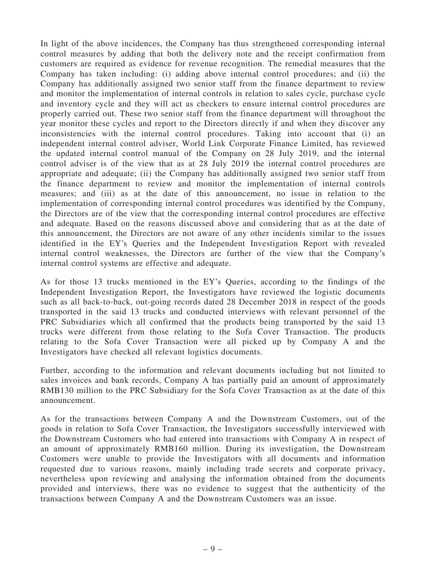In light of the above incidences, the Company has thus strengthened corresponding internal control measures by adding that both the delivery note and the receipt confirmation from customers are required as evidence for revenue recognition. The remedial measures that the Company has taken including: (i) adding above internal control procedures; and (ii) the Company has additionally assigned two senior staff from the finance department to review and monitor the implementation of internal controls in relation to sales cycle, purchase cycle and inventory cycle and they will act as checkers to ensure internal control procedures are properly carried out. These two senior staff from the finance department will throughout the year monitor these cycles and report to the Directors directly if and when they discover any inconsistencies with the internal control procedures. Taking into account that (i) an independent internal control adviser, World Link Corporate Finance Limited, has reviewed the updated internal control manual of the Company on 28 July 2019, and the internal control adviser is of the view that as at 28 July 2019 the internal control procedures are appropriate and adequate; (ii) the Company has additionally assigned two senior staff from the finance department to review and monitor the implementation of internal controls measures; and (iii) as at the date of this announcement, no issue in relation to the implementation of corresponding internal control procedures was identified by the Company, the Directors are of the view that the corresponding internal control procedures are effective and adequate. Based on the reasons discussed above and considering that as at the date of this announcement, the Directors are not aware of any other incidents similar to the issues identified in the EY's Queries and the Independent Investigation Report with revealed internal control weaknesses, the Directors are further of the view that the Company's internal control systems are effective and adequate.

As for those 13 trucks mentioned in the EY's Queries, according to the findings of the Independent Investigation Report, the Investigators have reviewed the logistic documents such as all back-to-back, out-going records dated 28 December 2018 in respect of the goods transported in the said 13 trucks and conducted interviews with relevant personnel of the PRC Subsidiaries which all confirmed that the products being transported by the said 13 trucks were different from those relating to the Sofa Cover Transaction. The products relating to the Sofa Cover Transaction were all picked up by Company A and the Investigators have checked all relevant logistics documents.

Further, according to the information and relevant documents including but not limited to sales invoices and bank records, Company A has partially paid an amount of approximately RMB130 million to the PRC Subsidiary for the Sofa Cover Transaction as at the date of this announcement.

As for the transactions between Company A and the Downstream Customers, out of the goods in relation to Sofa Cover Transaction, the Investigators successfully interviewed with the Downstream Customers who had entered into transactions with Company A in respect of an amount of approximately RMB160 million. During its investigation, the Downstream Customers were unable to provide the Investigators with all documents and information requested due to various reasons, mainly including trade secrets and corporate privacy, nevertheless upon reviewing and analysing the information obtained from the documents provided and interviews, there was no evidence to suggest that the authenticity of the transactions between Company A and the Downstream Customers was an issue.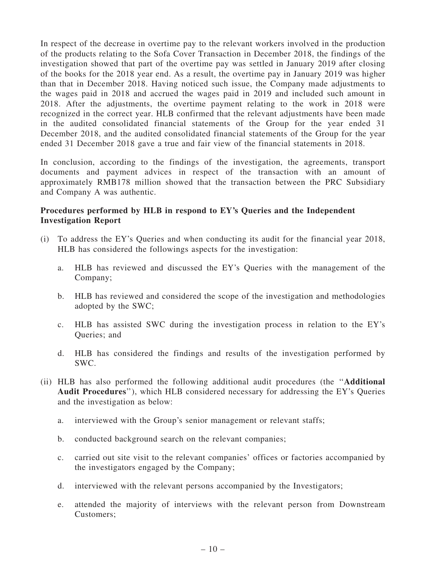In respect of the decrease in overtime pay to the relevant workers involved in the production of the products relating to the Sofa Cover Transaction in December 2018, the findings of the investigation showed that part of the overtime pay was settled in January 2019 after closing of the books for the 2018 year end. As a result, the overtime pay in January 2019 was higher than that in December 2018. Having noticed such issue, the Company made adjustments to the wages paid in 2018 and accrued the wages paid in 2019 and included such amount in 2018. After the adjustments, the overtime payment relating to the work in 2018 were recognized in the correct year. HLB confirmed that the relevant adjustments have been made in the audited consolidated financial statements of the Group for the year ended 31 December 2018, and the audited consolidated financial statements of the Group for the year ended 31 December 2018 gave a true and fair view of the financial statements in 2018.

In conclusion, according to the findings of the investigation, the agreements, transport documents and payment advices in respect of the transaction with an amount of approximately RMB178 million showed that the transaction between the PRC Subsidiary and Company A was authentic.

# Procedures performed by HLB in respond to EY's Queries and the Independent Investigation Report

- (i) To address the EY's Queries and when conducting its audit for the financial year 2018, HLB has considered the followings aspects for the investigation:
	- a. HLB has reviewed and discussed the EY's Queries with the management of the Company;
	- b. HLB has reviewed and considered the scope of the investigation and methodologies adopted by the SWC;
	- c. HLB has assisted SWC during the investigation process in relation to the EY's Queries; and
	- d. HLB has considered the findings and results of the investigation performed by SWC.
- (ii) HLB has also performed the following additional audit procedures (the ''Additional Audit Procedures''), which HLB considered necessary for addressing the EY's Queries and the investigation as below:
	- a. interviewed with the Group's senior management or relevant staffs;
	- b. conducted background search on the relevant companies;
	- c. carried out site visit to the relevant companies' offices or factories accompanied by the investigators engaged by the Company;
	- d. interviewed with the relevant persons accompanied by the Investigators;
	- e. attended the majority of interviews with the relevant person from Downstream Customers;